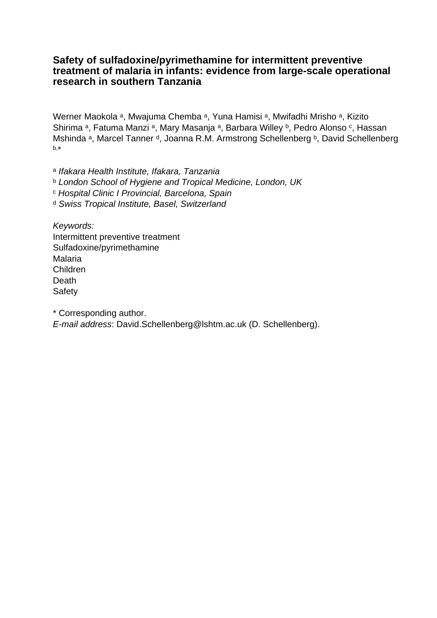### **Safety of sulfadoxine/pyrimethamine for intermittent preventive treatment of malaria in infants: evidence from large-scale operational research in southern Tanzania**

Werner Maokola a, Mwajuma Chemba a, Yuna Hamisi a, Mwifadhi Mrisho a, Kizito Shirima a, Fatuma Manzi a, Mary Masanja a, Barbara Willey b, Pedro Alonso c, Hassan Mshinda a, Marcel Tanner d, Joanna R.M. Armstrong Schellenberg b, David Schellenberg b,\*

<sup>a</sup> Ifakara Health Institute, Ifakara, Tanzania

**b London School of Hygiene and Tropical Medicine, London, UK** 

<sup>c</sup> Hospital Clinic I Provincial, Barcelona, Spain

<sup>d</sup> Swiss Tropical Institute, Basel, Switzerland

Keywords: Intermittent preventive treatment Sulfadoxine/pyrimethamine Malaria Children **Death** Safety

\* Corresponding author.

E-mail address: David.Schellenberg@lshtm.ac.uk (D. Schellenberg).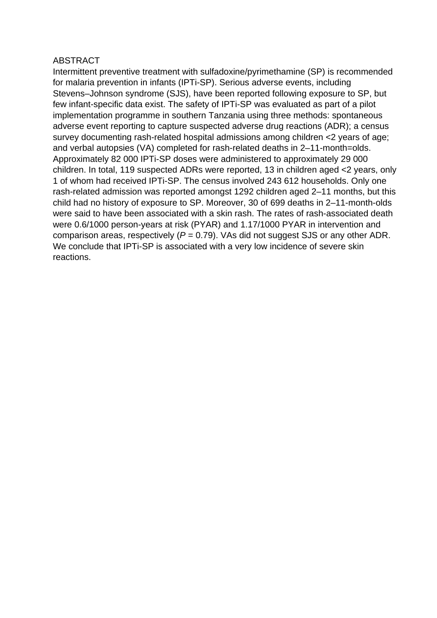#### ABSTRACT

Intermittent preventive treatment with sulfadoxine/pyrimethamine (SP) is recommended for malaria prevention in infants (IPTi-SP). Serious adverse events, including Stevens–Johnson syndrome (SJS), have been reported following exposure to SP, but few infant-specific data exist. The safety of IPTi-SP was evaluated as part of a pilot implementation programme in southern Tanzania using three methods: spontaneous adverse event reporting to capture suspected adverse drug reactions (ADR); a census survey documenting rash-related hospital admissions among children <2 years of age; and verbal autopsies (VA) completed for rash-related deaths in 2–11-month=olds. Approximately 82 000 IPTi-SP doses were administered to approximately 29 000 children. In total, 119 suspected ADRs were reported, 13 in children aged <2 years, only 1 of whom had received IPTi-SP. The census involved 243 612 households. Only one rash-related admission was reported amongst 1292 children aged 2–11 months, but this child had no history of exposure to SP. Moreover, 30 of 699 deaths in 2–11-month-olds were said to have been associated with a skin rash. The rates of rash-associated death were 0.6/1000 person-years at risk (PYAR) and 1.17/1000 PYAR in intervention and comparison areas, respectively ( $P = 0.79$ ). VAs did not suggest SJS or any other ADR. We conclude that IPTi-SP is associated with a very low incidence of severe skin reactions.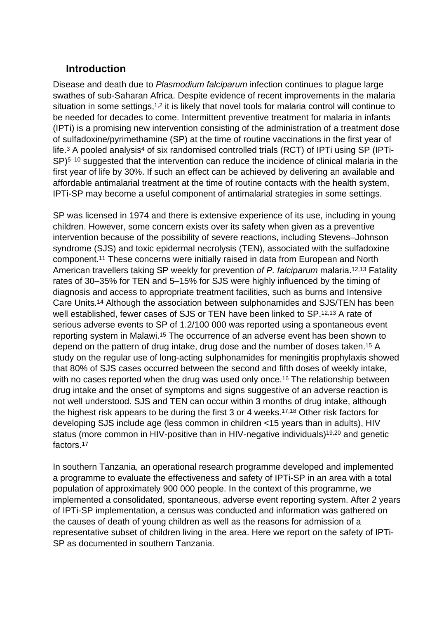## **Introduction**

Disease and death due to Plasmodium falciparum infection continues to plague large swathes of sub-Saharan Africa. Despite evidence of recent improvements in the malaria situation in some settings,<sup>1,2</sup> it is likely that novel tools for malaria control will continue to be needed for decades to come. Intermittent preventive treatment for malaria in infants (IPTi) is a promising new intervention consisting of the administration of a treatment dose of sulfadoxine/pyrimethamine (SP) at the time of routine vaccinations in the first year of life.<sup>3</sup> A pooled analysis<sup>4</sup> of six randomised controlled trials (RCT) of IPTi using SP (IPTi-SP)<sup>5–10</sup> suggested that the intervention can reduce the incidence of clinical malaria in the first year of life by 30%. If such an effect can be achieved by delivering an available and affordable antimalarial treatment at the time of routine contacts with the health system, IPTi-SP may become a useful component of antimalarial strategies in some settings.

SP was licensed in 1974 and there is extensive experience of its use, including in young children. However, some concern exists over its safety when given as a preventive intervention because of the possibility of severe reactions, including Stevens–Johnson syndrome (SJS) and toxic epidermal necrolysis (TEN), associated with the sulfadoxine component.11 These concerns were initially raised in data from European and North American travellers taking SP weekly for prevention of P. falciparum malaria.<sup>12,13</sup> Fatality rates of 30–35% for TEN and 5–15% for SJS were highly influenced by the timing of diagnosis and access to appropriate treatment facilities, such as burns and Intensive Care Units.14 Although the association between sulphonamides and SJS/TEN has been well established, fewer cases of SJS or TEN have been linked to SP.12,13 A rate of serious adverse events to SP of 1.2/100 000 was reported using a spontaneous event reporting system in Malawi.15 The occurrence of an adverse event has been shown to depend on the pattern of drug intake, drug dose and the number of doses taken.15 A study on the regular use of long-acting sulphonamides for meningitis prophylaxis showed that 80% of SJS cases occurred between the second and fifth doses of weekly intake, with no cases reported when the drug was used only once.<sup>16</sup> The relationship between drug intake and the onset of symptoms and signs suggestive of an adverse reaction is not well understood. SJS and TEN can occur within 3 months of drug intake, although the highest risk appears to be during the first 3 or 4 weeks.17,18 Other risk factors for developing SJS include age (less common in children <15 years than in adults), HIV status (more common in HIV-positive than in HIV-negative individuals)19,20 and genetic factors.<sup>17</sup>

In southern Tanzania, an operational research programme developed and implemented a programme to evaluate the effectiveness and safety of IPTi-SP in an area with a total population of approximately 900 000 people. In the context of this programme, we implemented a consolidated, spontaneous, adverse event reporting system. After 2 years of IPTi-SP implementation, a census was conducted and information was gathered on the causes of death of young children as well as the reasons for admission of a representative subset of children living in the area. Here we report on the safety of IPTi-SP as documented in southern Tanzania.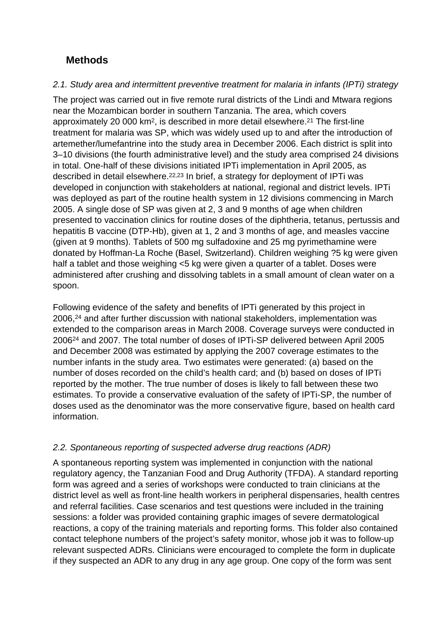## **Methods**

### 2.1. Study area and intermittent preventive treatment for malaria in infants (IPTi) strategy

The project was carried out in five remote rural districts of the Lindi and Mtwara regions near the Mozambican border in southern Tanzania. The area, which covers approximately 20 000 km2, is described in more detail elsewhere.21 The first-line treatment for malaria was SP, which was widely used up to and after the introduction of artemether/lumefantrine into the study area in December 2006. Each district is split into 3–10 divisions (the fourth administrative level) and the study area comprised 24 divisions in total. One-half of these divisions initiated IPTi implementation in April 2005, as described in detail elsewhere.22,23 In brief, a strategy for deployment of IPTi was developed in conjunction with stakeholders at national, regional and district levels. IPTi was deployed as part of the routine health system in 12 divisions commencing in March 2005. A single dose of SP was given at 2, 3 and 9 months of age when children presented to vaccination clinics for routine doses of the diphtheria, tetanus, pertussis and hepatitis B vaccine (DTP-Hb), given at 1, 2 and 3 months of age, and measles vaccine (given at 9 months). Tablets of 500 mg sulfadoxine and 25 mg pyrimethamine were donated by Hoffman-La Roche (Basel, Switzerland). Children weighing ?5 kg were given half a tablet and those weighing <5 kg were given a quarter of a tablet. Doses were administered after crushing and dissolving tablets in a small amount of clean water on a spoon.

Following evidence of the safety and benefits of IPTi generated by this project in 2006,24 and after further discussion with national stakeholders, implementation was extended to the comparison areas in March 2008. Coverage surveys were conducted in 200624 and 2007. The total number of doses of IPTi-SP delivered between April 2005 and December 2008 was estimated by applying the 2007 coverage estimates to the number infants in the study area. Two estimates were generated: (a) based on the number of doses recorded on the child's health card; and (b) based on doses of IPTi reported by the mother. The true number of doses is likely to fall between these two estimates. To provide a conservative evaluation of the safety of IPTi-SP, the number of doses used as the denominator was the more conservative figure, based on health card information.

### 2.2. Spontaneous reporting of suspected adverse drug reactions (ADR)

A spontaneous reporting system was implemented in conjunction with the national regulatory agency, the Tanzanian Food and Drug Authority (TFDA). A standard reporting form was agreed and a series of workshops were conducted to train clinicians at the district level as well as front-line health workers in peripheral dispensaries, health centres and referral facilities. Case scenarios and test questions were included in the training sessions: a folder was provided containing graphic images of severe dermatological reactions, a copy of the training materials and reporting forms. This folder also contained contact telephone numbers of the project's safety monitor, whose job it was to follow-up relevant suspected ADRs. Clinicians were encouraged to complete the form in duplicate if they suspected an ADR to any drug in any age group. One copy of the form was sent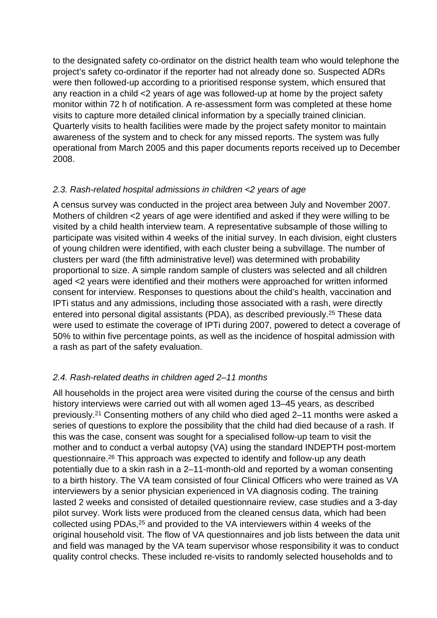to the designated safety co-ordinator on the district health team who would telephone the project's safety co-ordinator if the reporter had not already done so. Suspected ADRs were then followed-up according to a prioritised response system, which ensured that any reaction in a child <2 years of age was followed-up at home by the project safety monitor within 72 h of notification. A re-assessment form was completed at these home visits to capture more detailed clinical information by a specially trained clinician. Quarterly visits to health facilities were made by the project safety monitor to maintain awareness of the system and to check for any missed reports. The system was fully operational from March 2005 and this paper documents reports received up to December 2008.

### 2.3. Rash-related hospital admissions in children <2 years of age

A census survey was conducted in the project area between July and November 2007. Mothers of children <2 years of age were identified and asked if they were willing to be visited by a child health interview team. A representative subsample of those willing to participate was visited within 4 weeks of the initial survey. In each division, eight clusters of young children were identified, with each cluster being a subvillage. The number of clusters per ward (the fifth administrative level) was determined with probability proportional to size. A simple random sample of clusters was selected and all children aged <2 years were identified and their mothers were approached for written informed consent for interview. Responses to questions about the child's health, vaccination and IPTi status and any admissions, including those associated with a rash, were directly entered into personal digital assistants (PDA), as described previously.25 These data were used to estimate the coverage of IPTi during 2007, powered to detect a coverage of 50% to within five percentage points, as well as the incidence of hospital admission with a rash as part of the safety evaluation.

## 2.4. Rash-related deaths in children aged 2–11 months

All households in the project area were visited during the course of the census and birth history interviews were carried out with all women aged 13–45 years, as described previously.21 Consenting mothers of any child who died aged 2–11 months were asked a series of questions to explore the possibility that the child had died because of a rash. If this was the case, consent was sought for a specialised follow-up team to visit the mother and to conduct a verbal autopsy (VA) using the standard INDEPTH post-mortem questionnaire.26 This approach was expected to identify and follow-up any death potentially due to a skin rash in a 2–11-month-old and reported by a woman consenting to a birth history. The VA team consisted of four Clinical Officers who were trained as VA interviewers by a senior physician experienced in VA diagnosis coding. The training lasted 2 weeks and consisted of detailed questionnaire review, case studies and a 3-day pilot survey. Work lists were produced from the cleaned census data, which had been collected using PDAs,25 and provided to the VA interviewers within 4 weeks of the original household visit. The flow of VA questionnaires and job lists between the data unit and field was managed by the VA team supervisor whose responsibility it was to conduct quality control checks. These included re-visits to randomly selected households and to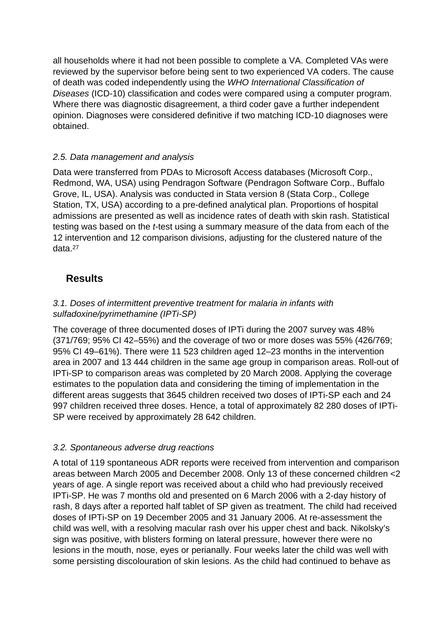all households where it had not been possible to complete a VA. Completed VAs were reviewed by the supervisor before being sent to two experienced VA coders. The cause of death was coded independently using the WHO International Classification of Diseases (ICD-10) classification and codes were compared using a computer program. Where there was diagnostic disagreement, a third coder gave a further independent opinion. Diagnoses were considered definitive if two matching ICD-10 diagnoses were obtained.

## 2.5. Data management and analysis

Data were transferred from PDAs to Microsoft Access databases (Microsoft Corp., Redmond, WA, USA) using Pendragon Software (Pendragon Software Corp., Buffalo Grove, IL, USA). Analysis was conducted in Stata version 8 (Stata Corp., College Station, TX, USA) according to a pre-defined analytical plan. Proportions of hospital admissions are presented as well as incidence rates of death with skin rash. Statistical testing was based on the t-test using a summary measure of the data from each of the 12 intervention and 12 comparison divisions, adjusting for the clustered nature of the data.<sup>27</sup>

## **Results**

### 3.1. Doses of intermittent preventive treatment for malaria in infants with sulfadoxine/pyrimethamine (IPTi-SP)

The coverage of three documented doses of IPTi during the 2007 survey was 48% (371/769; 95% CI 42–55%) and the coverage of two or more doses was 55% (426/769; 95% CI 49–61%). There were 11 523 children aged 12–23 months in the intervention area in 2007 and 13 444 children in the same age group in comparison areas. Roll-out of IPTi-SP to comparison areas was completed by 20 March 2008. Applying the coverage estimates to the population data and considering the timing of implementation in the different areas suggests that 3645 children received two doses of IPTi-SP each and 24 997 children received three doses. Hence, a total of approximately 82 280 doses of IPTi-SP were received by approximately 28 642 children.

### 3.2. Spontaneous adverse drug reactions

A total of 119 spontaneous ADR reports were received from intervention and comparison areas between March 2005 and December 2008. Only 13 of these concerned children <2 years of age. A single report was received about a child who had previously received IPTi-SP. He was 7 months old and presented on 6 March 2006 with a 2-day history of rash, 8 days after a reported half tablet of SP given as treatment. The child had received doses of IPTi-SP on 19 December 2005 and 31 January 2006. At re-assessment the child was well, with a resolving macular rash over his upper chest and back. Nikolsky's sign was positive, with blisters forming on lateral pressure, however there were no lesions in the mouth, nose, eyes or perianally. Four weeks later the child was well with some persisting discolouration of skin lesions. As the child had continued to behave as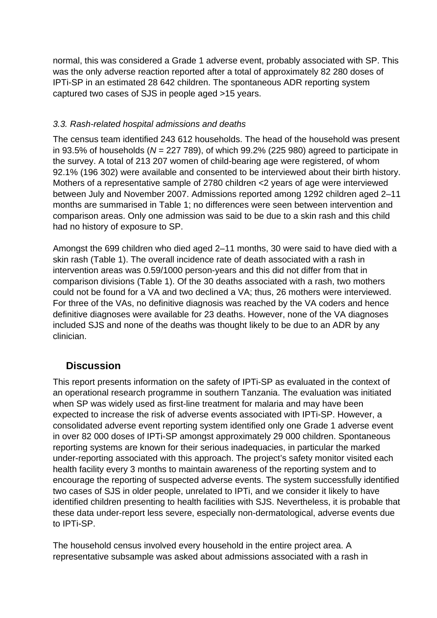normal, this was considered a Grade 1 adverse event, probably associated with SP. This was the only adverse reaction reported after a total of approximately 82 280 doses of IPTi-SP in an estimated 28 642 children. The spontaneous ADR reporting system captured two cases of SJS in people aged >15 years.

## 3.3. Rash-related hospital admissions and deaths

The census team identified 243 612 households. The head of the household was present in 93.5% of households  $(N = 227, 789)$ , of which 99.2% (225 980) agreed to participate in the survey. A total of 213 207 women of child-bearing age were registered, of whom 92.1% (196 302) were available and consented to be interviewed about their birth history. Mothers of a representative sample of 2780 children <2 years of age were interviewed between July and November 2007. Admissions reported among 1292 children aged 2–11 months are summarised in Table 1; no differences were seen between intervention and comparison areas. Only one admission was said to be due to a skin rash and this child had no history of exposure to SP.

Amongst the 699 children who died aged 2–11 months, 30 were said to have died with a skin rash (Table 1). The overall incidence rate of death associated with a rash in intervention areas was 0.59/1000 person-years and this did not differ from that in comparison divisions (Table 1). Of the 30 deaths associated with a rash, two mothers could not be found for a VA and two declined a VA; thus, 26 mothers were interviewed. For three of the VAs, no definitive diagnosis was reached by the VA coders and hence definitive diagnoses were available for 23 deaths. However, none of the VA diagnoses included SJS and none of the deaths was thought likely to be due to an ADR by any clinician.

# **Discussion**

This report presents information on the safety of IPTi-SP as evaluated in the context of an operational research programme in southern Tanzania. The evaluation was initiated when SP was widely used as first-line treatment for malaria and may have been expected to increase the risk of adverse events associated with IPTi-SP. However, a consolidated adverse event reporting system identified only one Grade 1 adverse event in over 82 000 doses of IPTi-SP amongst approximately 29 000 children. Spontaneous reporting systems are known for their serious inadequacies, in particular the marked under-reporting associated with this approach. The project's safety monitor visited each health facility every 3 months to maintain awareness of the reporting system and to encourage the reporting of suspected adverse events. The system successfully identified two cases of SJS in older people, unrelated to IPTi, and we consider it likely to have identified children presenting to health facilities with SJS. Nevertheless, it is probable that these data under-report less severe, especially non-dermatological, adverse events due to IPTi-SP.

The household census involved every household in the entire project area. A representative subsample was asked about admissions associated with a rash in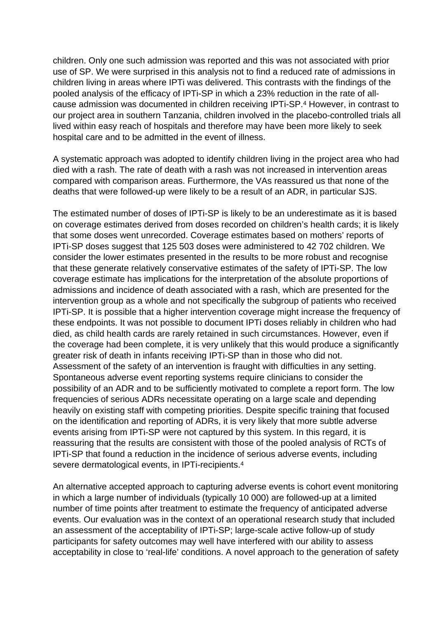children. Only one such admission was reported and this was not associated with prior use of SP. We were surprised in this analysis not to find a reduced rate of admissions in children living in areas where IPTi was delivered. This contrasts with the findings of the pooled analysis of the efficacy of IPTi-SP in which a 23% reduction in the rate of allcause admission was documented in children receiving IPTi-SP.4 However, in contrast to our project area in southern Tanzania, children involved in the placebo-controlled trials all lived within easy reach of hospitals and therefore may have been more likely to seek hospital care and to be admitted in the event of illness.

A systematic approach was adopted to identify children living in the project area who had died with a rash. The rate of death with a rash was not increased in intervention areas compared with comparison areas. Furthermore, the VAs reassured us that none of the deaths that were followed-up were likely to be a result of an ADR, in particular SJS.

The estimated number of doses of IPTi-SP is likely to be an underestimate as it is based on coverage estimates derived from doses recorded on children's health cards; it is likely that some doses went unrecorded. Coverage estimates based on mothers' reports of IPTi-SP doses suggest that 125 503 doses were administered to 42 702 children. We consider the lower estimates presented in the results to be more robust and recognise that these generate relatively conservative estimates of the safety of IPTi-SP. The low coverage estimate has implications for the interpretation of the absolute proportions of admissions and incidence of death associated with a rash, which are presented for the intervention group as a whole and not specifically the subgroup of patients who received IPTi-SP. It is possible that a higher intervention coverage might increase the frequency of these endpoints. It was not possible to document IPTi doses reliably in children who had died, as child health cards are rarely retained in such circumstances. However, even if the coverage had been complete, it is very unlikely that this would produce a significantly greater risk of death in infants receiving IPTi-SP than in those who did not. Assessment of the safety of an intervention is fraught with difficulties in any setting. Spontaneous adverse event reporting systems require clinicians to consider the possibility of an ADR and to be sufficiently motivated to complete a report form. The low frequencies of serious ADRs necessitate operating on a large scale and depending heavily on existing staff with competing priorities. Despite specific training that focused on the identification and reporting of ADRs, it is very likely that more subtle adverse events arising from IPTi-SP were not captured by this system. In this regard, it is reassuring that the results are consistent with those of the pooled analysis of RCTs of IPTi-SP that found a reduction in the incidence of serious adverse events, including severe dermatological events, in IPTi-recipients.<sup>4</sup>

An alternative accepted approach to capturing adverse events is cohort event monitoring in which a large number of individuals (typically 10 000) are followed-up at a limited number of time points after treatment to estimate the frequency of anticipated adverse events. Our evaluation was in the context of an operational research study that included an assessment of the acceptability of IPTi-SP; large-scale active follow-up of study participants for safety outcomes may well have interfered with our ability to assess acceptability in close to 'real-life' conditions. A novel approach to the generation of safety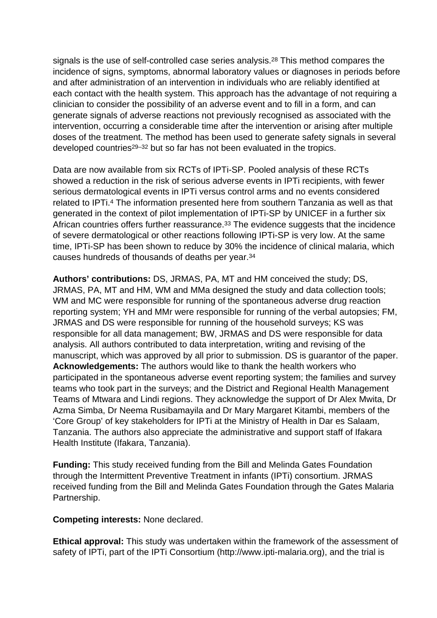signals is the use of self-controlled case series analysis.<sup>28</sup> This method compares the incidence of signs, symptoms, abnormal laboratory values or diagnoses in periods before and after administration of an intervention in individuals who are reliably identified at each contact with the health system. This approach has the advantage of not requiring a clinician to consider the possibility of an adverse event and to fill in a form, and can generate signals of adverse reactions not previously recognised as associated with the intervention, occurring a considerable time after the intervention or arising after multiple doses of the treatment. The method has been used to generate safety signals in several developed countries<sup>29-32</sup> but so far has not been evaluated in the tropics.

Data are now available from six RCTs of IPTi-SP. Pooled analysis of these RCTs showed a reduction in the risk of serious adverse events in IPTi recipients, with fewer serious dermatological events in IPTi versus control arms and no events considered related to IPTi.4 The information presented here from southern Tanzania as well as that generated in the context of pilot implementation of IPTi-SP by UNICEF in a further six African countries offers further reassurance.<sup>33</sup> The evidence suggests that the incidence of severe dermatological or other reactions following IPTi-SP is very low. At the same time, IPTi-SP has been shown to reduce by 30% the incidence of clinical malaria, which causes hundreds of thousands of deaths per year.<sup>34</sup>

**Authors' contributions:** DS, JRMAS, PA, MT and HM conceived the study; DS, JRMAS, PA, MT and HM, WM and MMa designed the study and data collection tools; WM and MC were responsible for running of the spontaneous adverse drug reaction reporting system; YH and MMr were responsible for running of the verbal autopsies; FM, JRMAS and DS were responsible for running of the household surveys; KS was responsible for all data management; BW, JRMAS and DS were responsible for data analysis. All authors contributed to data interpretation, writing and revising of the manuscript, which was approved by all prior to submission. DS is guarantor of the paper. **Acknowledgements:** The authors would like to thank the health workers who participated in the spontaneous adverse event reporting system; the families and survey teams who took part in the surveys; and the District and Regional Health Management Teams of Mtwara and Lindi regions. They acknowledge the support of Dr Alex Mwita, Dr Azma Simba, Dr Neema Rusibamayila and Dr Mary Margaret Kitambi, members of the 'Core Group' of key stakeholders for IPTi at the Ministry of Health in Dar es Salaam, Tanzania. The authors also appreciate the administrative and support staff of Ifakara Health Institute (Ifakara, Tanzania).

**Funding:** This study received funding from the Bill and Melinda Gates Foundation through the Intermittent Preventive Treatment in infants (IPTi) consortium. JRMAS received funding from the Bill and Melinda Gates Foundation through the Gates Malaria Partnership.

**Competing interests:** None declared.

**Ethical approval:** This study was undertaken within the framework of the assessment of safety of IPTi, part of the IPTi Consortium (http://www.ipti-malaria.org), and the trial is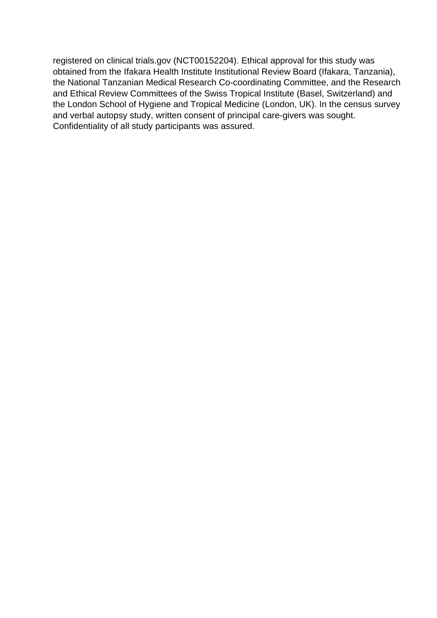registered on clinical trials.gov (NCT00152204). Ethical approval for this study was obtained from the Ifakara Health Institute Institutional Review Board (Ifakara, Tanzania), the National Tanzanian Medical Research Co-coordinating Committee, and the Research and Ethical Review Committees of the Swiss Tropical Institute (Basel, Switzerland) and the London School of Hygiene and Tropical Medicine (London, UK). In the census survey and verbal autopsy study, written consent of principal care-givers was sought. Confidentiality of all study participants was assured.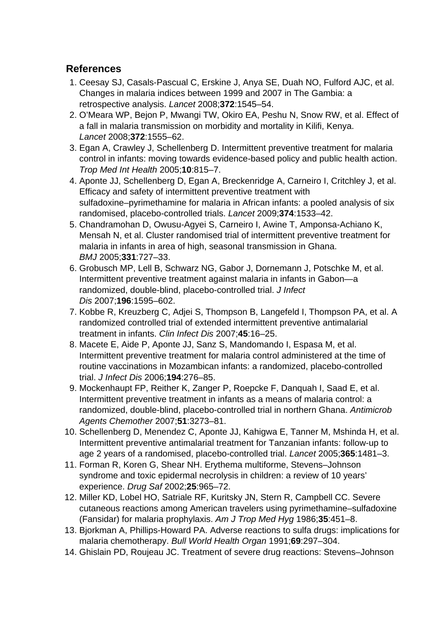## **References**

- 1. Ceesay SJ, Casals-Pascual C, Erskine J, Anya SE, Duah NO, Fulford AJC, et al. Changes in malaria indices between 1999 and 2007 in The Gambia: a retrospective analysis. Lancet 2008;**372**:1545–54.
- 2. O'Meara WP, Bejon P, Mwangi TW, Okiro EA, Peshu N, Snow RW, et al. Effect of a fall in malaria transmission on morbidity and mortality in Kilifi, Kenya. Lancet 2008;**372**:1555–62.
- 3. Egan A, Crawley J, Schellenberg D. Intermittent preventive treatment for malaria control in infants: moving towards evidence-based policy and public health action. Trop Med Int Health 2005;**10**:815–7.
- 4. Aponte JJ, Schellenberg D, Egan A, Breckenridge A, Carneiro I, Critchley J, et al. Efficacy and safety of intermittent preventive treatment with sulfadoxine–pyrimethamine for malaria in African infants: a pooled analysis of six randomised, placebo-controlled trials. Lancet 2009;**374**:1533–42.
- 5. Chandramohan D, Owusu-Agyei S, Carneiro I, Awine T, Amponsa-Achiano K, Mensah N, et al. Cluster randomised trial of intermittent preventive treatment for malaria in infants in area of high, seasonal transmission in Ghana. BMJ 2005;**331**:727–33.
- 6. Grobusch MP, Lell B, Schwarz NG, Gabor J, Dornemann J, Potschke M, et al. Intermittent preventive treatment against malaria in infants in Gabon—a randomized, double-blind, placebo-controlled trial. J Infect Dis 2007;**196**:1595–602.
- 7. Kobbe R, Kreuzberg C, Adjei S, Thompson B, Langefeld I, Thompson PA, et al. A randomized controlled trial of extended intermittent preventive antimalarial treatment in infants. Clin Infect Dis 2007;**45**:16–25.
- 8. Macete E, Aide P, Aponte JJ, Sanz S, Mandomando I, Espasa M, et al. Intermittent preventive treatment for malaria control administered at the time of routine vaccinations in Mozambican infants: a randomized, placebo-controlled trial. J Infect Dis 2006;**194**:276–85.
- 9. Mockenhaupt FP, Reither K, Zanger P, Roepcke F, Danquah I, Saad E, et al. Intermittent preventive treatment in infants as a means of malaria control: a randomized, double-blind, placebo-controlled trial in northern Ghana. Antimicrob Agents Chemother 2007;**51**:3273–81.
- 10. Schellenberg D, Menendez C, Aponte JJ, Kahigwa E, Tanner M, Mshinda H, et al. Intermittent preventive antimalarial treatment for Tanzanian infants: follow-up to age 2 years of a randomised, placebo-controlled trial. Lancet 2005;**365**:1481–3.
- 11. Forman R, Koren G, Shear NH. Erythema multiforme, Stevens–Johnson syndrome and toxic epidermal necrolysis in children: a review of 10 years' experience. Drug Saf 2002;**25**:965–72.
- 12. Miller KD, Lobel HO, Satriale RF, Kuritsky JN, Stern R, Campbell CC. Severe cutaneous reactions among American travelers using pyrimethamine–sulfadoxine (Fansidar) for malaria prophylaxis. Am J Trop Med Hyg 1986;**35**:451–8.
- 13. Bjorkman A, Phillips-Howard PA. Adverse reactions to sulfa drugs: implications for malaria chemotherapy. Bull World Health Organ 1991;**69**:297–304.
- 14. Ghislain PD, Roujeau JC. Treatment of severe drug reactions: Stevens–Johnson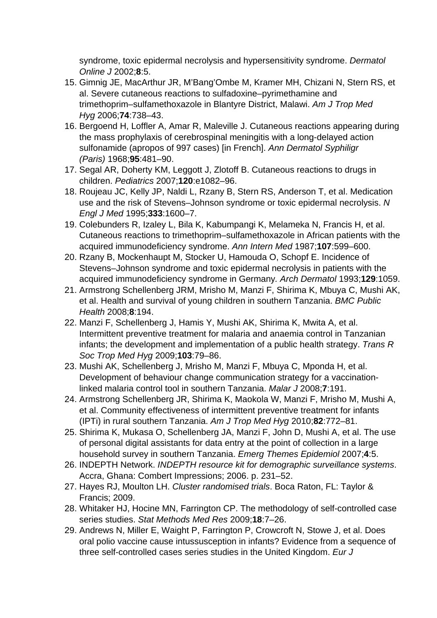syndrome, toxic epidermal necrolysis and hypersensitivity syndrome. Dermatol Online J 2002;**8**:5.

- 15. Gimnig JE, MacArthur JR, M'Bang'Ombe M, Kramer MH, Chizani N, Stern RS, et al. Severe cutaneous reactions to sulfadoxine–pyrimethamine and trimethoprim–sulfamethoxazole in Blantyre District, Malawi. Am J Trop Med Hyg 2006;**74**:738–43.
- 16. Bergoend H, Loffler A, Amar R, Maleville J. Cutaneous reactions appearing during the mass prophylaxis of cerebrospinal meningitis with a long-delayed action sulfonamide (apropos of 997 cases) [in French]. Ann Dermatol Syphiligr (Paris) 1968;**95**:481–90.
- 17. Segal AR, Doherty KM, Leggott J, Zlotoff B. Cutaneous reactions to drugs in children. Pediatrics 2007;**120**:e1082–96.
- 18. Roujeau JC, Kelly JP, Naldi L, Rzany B, Stern RS, Anderson T, et al. Medication use and the risk of Stevens–Johnson syndrome or toxic epidermal necrolysis. N Engl J Med 1995;**333**:1600–7.
- 19. Colebunders R, Izaley L, Bila K, Kabumpangi K, Melameka N, Francis H, et al. Cutaneous reactions to trimethoprim–sulfamethoxazole in African patients with the acquired immunodeficiency syndrome. Ann Intern Med 1987;**107**:599–600.
- 20. Rzany B, Mockenhaupt M, Stocker U, Hamouda O, Schopf E. Incidence of Stevens–Johnson syndrome and toxic epidermal necrolysis in patients with the acquired immunodeficiency syndrome in Germany. Arch Dermatol 1993;**129**:1059.
- 21. Armstrong Schellenberg JRM, Mrisho M, Manzi F, Shirima K, Mbuya C, Mushi AK, et al. Health and survival of young children in southern Tanzania. BMC Public Health 2008;**8**:194.
- 22. Manzi F, Schellenberg J, Hamis Y, Mushi AK, Shirima K, Mwita A, et al. Intermittent preventive treatment for malaria and anaemia control in Tanzanian infants; the development and implementation of a public health strategy. Trans R Soc Trop Med Hyg 2009;**103**:79–86.
- 23. Mushi AK, Schellenberg J, Mrisho M, Manzi F, Mbuya C, Mponda H, et al. Development of behaviour change communication strategy for a vaccinationlinked malaria control tool in southern Tanzania. Malar J 2008;**7**:191.
- 24. Armstrong Schellenberg JR, Shirima K, Maokola W, Manzi F, Mrisho M, Mushi A, et al. Community effectiveness of intermittent preventive treatment for infants (IPTi) in rural southern Tanzania. Am J Trop Med Hyg 2010;**82**:772–81.
- 25. Shirima K, Mukasa O, Schellenberg JA, Manzi F, John D, Mushi A, et al. The use of personal digital assistants for data entry at the point of collection in a large household survey in southern Tanzania. Emerg Themes Epidemiol 2007;**4**:5.
- 26. INDEPTH Network. INDEPTH resource kit for demographic surveillance systems. Accra, Ghana: Combert Impressions; 2006. p. 231–52.
- 27. Hayes RJ, Moulton LH. Cluster randomised trials. Boca Raton, FL: Taylor & Francis; 2009.
- 28. Whitaker HJ, Hocine MN, Farrington CP. The methodology of self-controlled case series studies. Stat Methods Med Res 2009;**18**:7–26.
- 29. Andrews N, Miller E, Waight P, Farrington P, Crowcroft N, Stowe J, et al. Does oral polio vaccine cause intussusception in infants? Evidence from a sequence of three self-controlled cases series studies in the United Kingdom. Eur J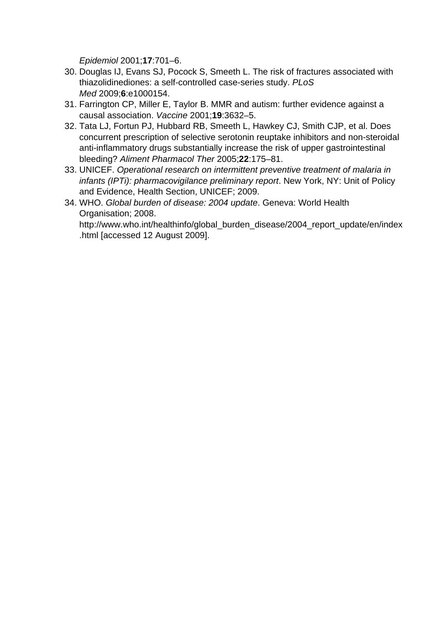Epidemiol 2001;**17**:701–6.

- 30. Douglas IJ, Evans SJ, Pocock S, Smeeth L. The risk of fractures associated with thiazolidinediones: a self-controlled case-series study. PLoS Med 2009;**6**:e1000154.
- 31. Farrington CP, Miller E, Taylor B. MMR and autism: further evidence against a causal association. Vaccine 2001;**19**:3632–5.
- 32. Tata LJ, Fortun PJ, Hubbard RB, Smeeth L, Hawkey CJ, Smith CJP, et al. Does concurrent prescription of selective serotonin reuptake inhibitors and non-steroidal anti-inflammatory drugs substantially increase the risk of upper gastrointestinal bleeding? Aliment Pharmacol Ther 2005;**22**:175–81.
- 33. UNICEF. Operational research on intermittent preventive treatment of malaria in infants (IPTi): pharmacovigilance preliminary report. New York, NY: Unit of Policy and Evidence, Health Section, UNICEF; 2009.
- 34. WHO. Global burden of disease: 2004 update. Geneva: World Health Organisation; 2008.

http://www.who.int/healthinfo/global\_burden\_disease/2004\_report\_update/en/index .html [accessed 12 August 2009].